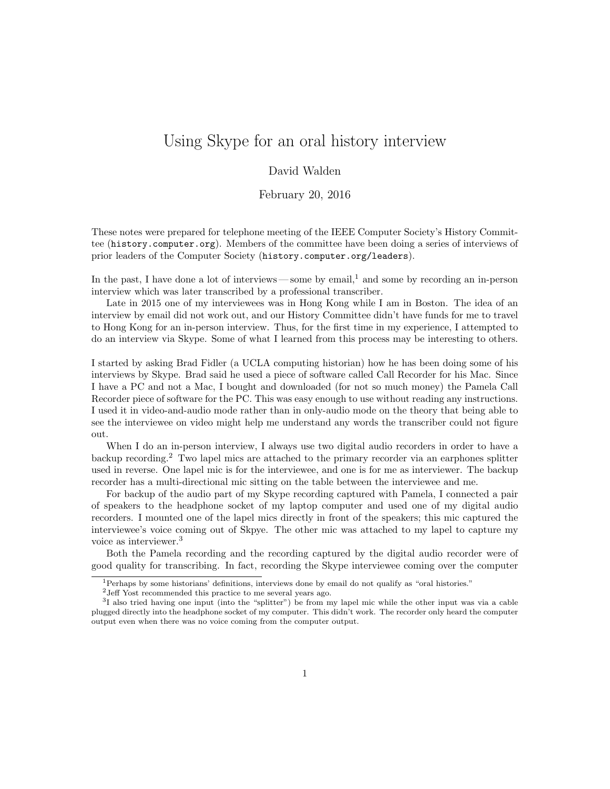## Using Skype for an oral history interview

## David Walden

February 20, 2016

These notes were prepared for telephone meeting of the IEEE Computer Society's History Committee (history.computer.org). Members of the committee have been doing a series of interviews of prior leaders of the Computer Society (history.computer.org/leaders).

In the past, I have done a lot of interviews — some by email, $<sup>1</sup>$  and some by recording an in-person</sup> interview which was later transcribed by a professional transcriber.

Late in 2015 one of my interviewees was in Hong Kong while I am in Boston. The idea of an interview by email did not work out, and our History Committee didn't have funds for me to travel to Hong Kong for an in-person interview. Thus, for the first time in my experience, I attempted to do an interview via Skype. Some of what I learned from this process may be interesting to others.

I started by asking Brad Fidler (a UCLA computing historian) how he has been doing some of his interviews by Skype. Brad said he used a piece of software called Call Recorder for his Mac. Since I have a PC and not a Mac, I bought and downloaded (for not so much money) the Pamela Call Recorder piece of software for the PC. This was easy enough to use without reading any instructions. I used it in video-and-audio mode rather than in only-audio mode on the theory that being able to see the interviewee on video might help me understand any words the transcriber could not figure out.

When I do an in-person interview, I always use two digital audio recorders in order to have a backup recording.<sup>2</sup> Two lapel mics are attached to the primary recorder via an earphones splitter used in reverse. One lapel mic is for the interviewee, and one is for me as interviewer. The backup recorder has a multi-directional mic sitting on the table between the interviewee and me.

For backup of the audio part of my Skype recording captured with Pamela, I connected a pair of speakers to the headphone socket of my laptop computer and used one of my digital audio recorders. I mounted one of the lapel mics directly in front of the speakers; this mic captured the interviewee's voice coming out of Skpye. The other mic was attached to my lapel to capture my voice as interviewer.<sup>3</sup>

Both the Pamela recording and the recording captured by the digital audio recorder were of good quality for transcribing. In fact, recording the Skype interviewee coming over the computer

<sup>1</sup>Perhaps by some historians' definitions, interviews done by email do not qualify as "oral histories."

<sup>2</sup>Jeff Yost recommended this practice to me several years ago.

<sup>&</sup>lt;sup>3</sup>I also tried having one input (into the "splitter") be from my lapel mic while the other input was via a cable plugged directly into the headphone socket of my computer. This didn't work. The recorder only heard the computer output even when there was no voice coming from the computer output.